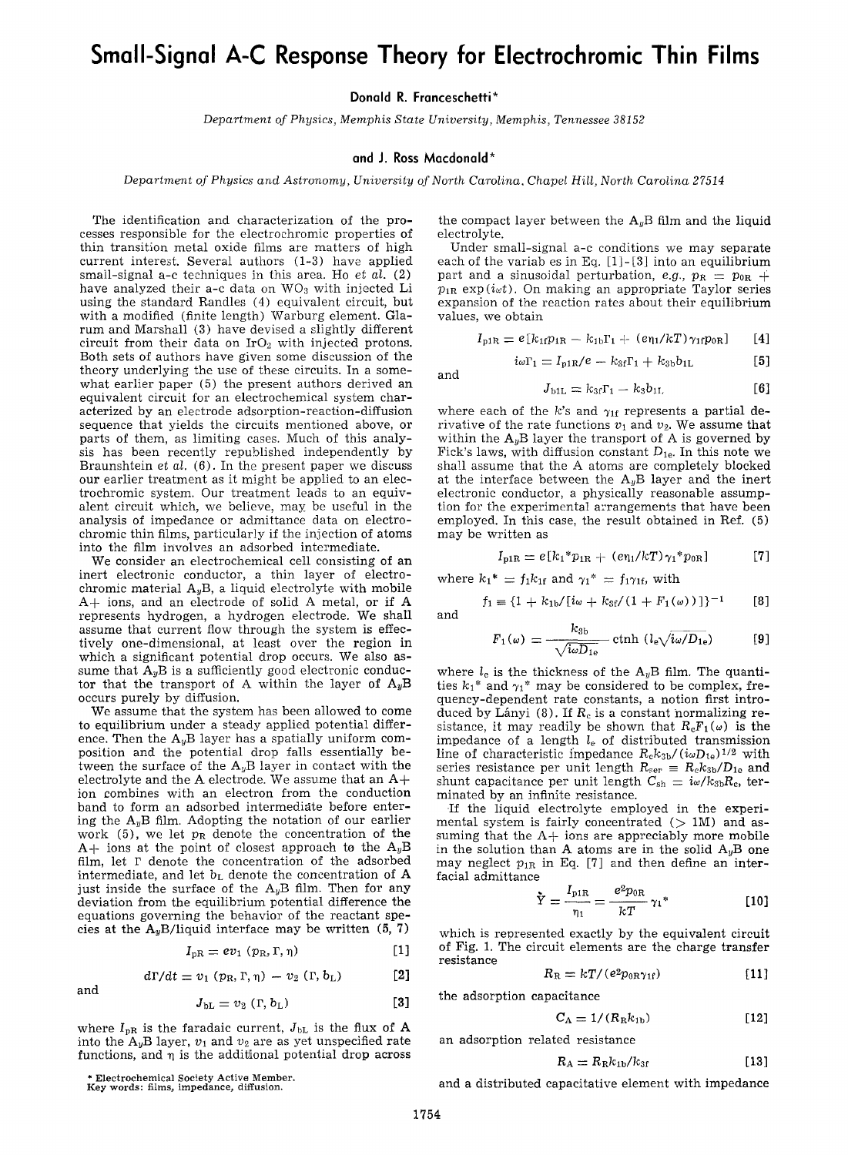## **Small-Signal A-C Response Theory for Electrochromic Thin Films**

**Donald R. Franceschetti\*** 

*Department of Physics, Memphis State University, Memphis, Tennessee 38152* 

## **and J. Ross Macdonald\***

*Department of Physics and Astronomy, University of North Carolina, Chapel Hill, North Carolina 27514* 

The identification and characterization of the processes responsible for the electrochromic properties of thin transition metal oxide films are matters of high current interest. Several authors (1-3) have applied small-signal a-c techniques in this area. Ho *et al.* (2) have analyzed their a-c data on  $WO_3$  with injected Li using the standard Randles (4) equivalent circuit, but with a modified (finite length) Warburg element. Glarum and Marshall (3) have devised a slightly different circuit from their data on  $IrO<sub>2</sub>$  with injected protons. Both sets of authors have given some discussion of the theory underlying the use of these circuits. In a somewhat earlier paper (5) the present authors derived an equivalent circuit for an electrochemical system characterized by an electrode adsorption-reaction-diffusion sequence that yields the circuits mentioned above, or parts of them, as limiting cases. Much of this analysis has been recently republished independently by Braunshtein *et al.* (6). In the present paper we discuss our earlier treatment as it might be applied to an electrochromic system. Our treatment leads to an equivalent circuit which, we believe, may be useful in the analysis of impedance or admittance data on electrochromic thin films, particularly if the injection of atoms into the film involves an adsorbed intermediate.

We consider an electrochemical cell consisting of an inert electronic conductor, a thin layer of electrochromic material  $A_yB$ , a liquid electrolyte with mobile A+ ions, and an electrode of solid A metal, or if A represents hydrogen, a hydrogen electrode. We shall assume that current flow through the system is effectively one-dimensional, at least over the region in which a significant potential drop occurs. We also assume that  $A_yB$  is a sufficiently good electronic conductor that the transport of A within the layer of  $A_yB$ occurs purely by diffusion.

We assume that the system has been allowed to come to equilibrium under a steady applied potential difference. Then the  $A_yB$  layer has a spatially uniform composition and the potential drop falls essentially between the surface of the  $A_yB$  layer in contact with the electrolyte and the A electrode. We assume that an  $A+$ ion combines with an electron from the conduction band to form an adsorbed intermediate before entering the  $A_yB$  film. Adopting the notation of our earlier work (5), we let  $p_R$  denote the concentration of the  $A+$  ions at the point of closest approach to the  $A_yB$ film, let r denote the concentration of the adsorbed intermediate, and let  $b<sub>L</sub>$  denote the concentration of  $A$ just inside the surface of the  $A_yB$  film. Then for any deviation from the equilibrium potential difference the equations governing the behavior of the reactant species at the  $A_yB/I$ iquid interface may be written (5, 7)

$$
I_{\rm pR} = ev_1 \left( p_{\rm R}, \Gamma, \eta \right) \tag{1}
$$

$$
d\Gamma/dt = v_1 \left( p_R, \Gamma, \eta \right) - v_2 \left( \Gamma, b_L \right) \tag{2}
$$

$$
J_{\mathrm{bL}} = v_2 \, (\Gamma, b_{\mathrm{L}}) \tag{3}
$$

where  $I_{pR}$  is the faradaic current,  $J_{bL}$  is the flux of A into the  $A_yB$  layer,  $v_1$  and  $v_2$  are as yet unspecified rate functions, and  $\eta$  is the additional potential drop across the compact layer between the  $A_yB$  film and the liquid electrolyte.

Under small-signal a-c conditions we may separate each of the variab es in Eq.  $[1]-[3]$  into an equilibrium part and a sinusoidal perturbation, *e.g.*,  $p_R = p_{0R}$  +  $p_{1R}$  exp( $i_{\alpha}t$ ). On making an appropriate Taylor series expansion of the reaction rates about their equilibrium values, we obtain

$$
I_{p1R} = e[k_{1f}p_{1R} - k_{1b}\Gamma_1 + (e_{\eta_1}/kT)\gamma_{1f}p_{0R}] \qquad [4]
$$

 $i\omega\Gamma_1 = I_{p1R}/e - k_{3f}\Gamma_1 + k_{3b}b_{1L}$  [5]

and

$$
J_{b1L} = k_{3f}\Gamma_1 - k_3b_{1L} \tag{6}
$$

where each of the k's and  $\gamma_{1f}$  represents a partial derivative of the rate functions  $v_1$  and  $v_2$ . We assume that within the  $A_yB$  layer the transport of A is governed by Fick's laws, with diffusion constant  $D_{1e}$ . In this note we sha!l assume that the A atoms are completely blocked at the interface between the  $A_yB$  layer and the inert electronic conductor, a physically reasonable assumption for the experimental arrangements that have been employed. In this case, the result obtained in Ref. (5) may be written as

$$
I_{\rm p1R} = e[k_1 * p_{1R} + (e\eta_1/kT)\gamma_1 * p_{0R}] \qquad [7]
$$

where  $k_1^* = f_1 k_{1f}$  and  $\gamma_1^* = f_1 \gamma_{1f}$ , with

$$
f_1 \equiv \{1 + k_{1b}/[i\omega + k_{3f}/(1 + F_1(\omega))]\}^{-1}
$$
 [8]

$$
F_1(\omega) = \frac{k_{3b}}{\sqrt{i\omega D_{1e}}} \coth (l_e \sqrt{i\omega/D_{1e}})
$$
 [9]

where  $l_e$  is the thickness of the  $A_yB$  film. The quantities  $k_1^*$  and  $\gamma_1^*$  may be considered to be complex, frequency-dependent rate constants, a notion first introduced by Lányi (8). If  $R_c$  is a constant normalizing resistance, it may readily be shown that  $R_cF_1(\omega)$  is the impedance of a length  $l_e$  of distributed transmission line of characteristic impedance  $R_{\rm c}k_{3b}/(i\omega D_{1e})^{1/2}$  with series resistance per unit length  $R_{\text{ser}} = R_{\text{c}}k_{3\text{b}}/D_{1\text{e}}$  and shunt capacitance per unit length  $C_{\rm sh} = i\omega/k_{3\rm b}R_{\rm c}$ , terminated by an infinite resistance.

If the liquid electrolyte employed in the experimental system is fairly concentrated  $(1.00)$  and assuming that the  $A+$  ions are appreciably more mobile in the solution than A atoms are in the solid  $A_yB$  one may neglect  $p_{1R}$  in Eq. [7] and then define an interfacial admittance

$$
\tilde{Y} = \frac{I_{\text{PIR}}}{\eta_1} = \frac{e^2 p_{0R}}{kT} \gamma_1^*
$$
 [10]

which is represented exactly by the equivalent circuit of Fig. 1. The circuit elements are the charge transfer resistance

$$
R_{\rm R} = kT/(e^2 p_{0{\rm R}\gamma_{1{\rm f}}}) \tag{11}
$$

the adsorption capacitance

$$
C_{\rm A} = 1/(R_{\rm R}k_{\rm 1b})\tag{12}
$$

an adsorption related resistance

$$
R_{\rm A} = R_{\rm R} k_{\rm 1b}/k_{\rm 3f} \tag{13}
$$

\* **Electrochemical Society** Active Member. Key words: films, impedance, diffusion.

and

and a distributed capacitative element with impedance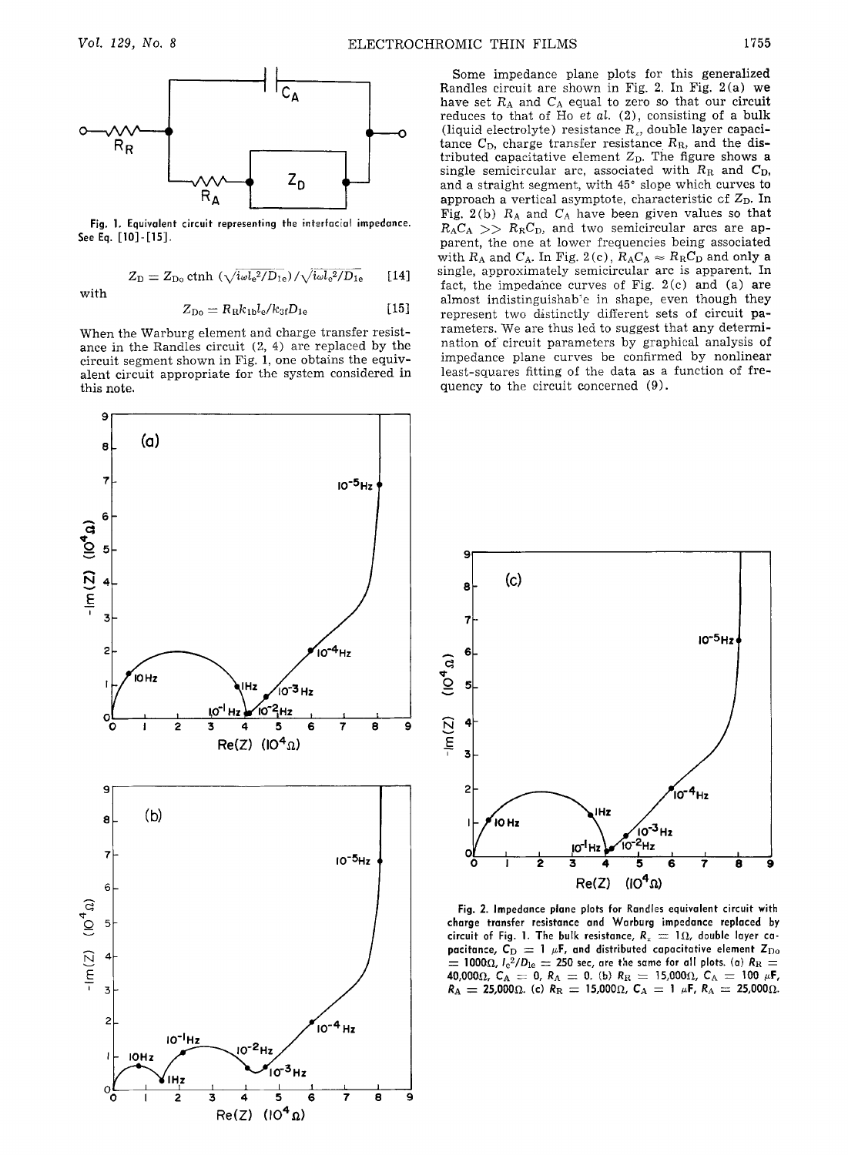

**Fig. 1. Equivalent circuit representing the interfacial impedance.**  See Eq. [10]-[15].

$$
Z_D = Z_{Do} \coth \ (\sqrt{i\omega l_e^2/D_{1e}})/\sqrt{i\omega l_e^2/D_{1e}} \qquad [14]
$$

**with** 

$$
Z_{\rm Do} = R_{\rm R} k_{\rm 1b} l_{\rm e} / k_{3f} D_{\rm 1e} \tag{15}
$$

When the Warburg element and charge transfer resistance in the Randles circuit (2, 4) are replaced by the circuit segment shown in Fig. 1, one obtains the equivalent circuit appropriate for the system considered in this note.



Some impedance plane plots for this generalized Randles circuit are shown in Fig. 2. In Fig. 2(a) we have set  $R_A$  and  $C_A$  equal to zero so that our circuit reduces to that of Ho et al. (2), consisting of a bulk (liquid electrolyte) resistance  $R<sub>x</sub>$ , double layer capacitance  $C_D$ , charge transfer resistance  $R_R$ , and the distributed capacitative element  $Z<sub>D</sub>$ . The figure shows a single semicircular arc, associated with  $R_R$  and  $C_D$ , and a straight segment, with  $45^\circ$  slope which curves to approach a vertical asymptote, characteristic of  $Z_{\rm D}$ . In Fig. 2(b)  $R_A$  and  $C_A$  have been given values so that  $R_A C_A$  >>  $R_R C_D$ , and two semicircular arcs are apparent, the one at lower frequencies being associated with  $R_A$  and  $C_A$ . In Fig. 2(c),  $R_A C_A \approx R_R C_D$  and only a single, approximately semicircular arc is apparent. In fact, the impedance curves of Fig. 2(c) and (a) **are**  almost indistinguishab'e in shape, even though they represent two distinctly different sets of circuit parameters. We are thus led to suggest that any determination of circuit parameters by graphical analysis of impedance plane curves be confirmed by nonlinear least-squares fitting of the data as a function of frequency to the circuit concerned (9).



**Fig. 2. Impedance plane plats for Randles equivalent circuit with charge transfer resistance and Warburg impedance replaced by**  circuit of Fig. 1. The bulk resistance,  $R_x = 1 \Omega$ , double layer capacitance,  $C_D = 1 \mu F$ , and distributed capacitative element  $Z_{Do}$  $\tau_{\rm c} = 1000 \Omega$ ,  $l_{\rm e}^{2}/D_{\rm le} = 250$  sec, are the same for all plots. (a)  $R_{\rm R} = 1000 \Omega$ **40,000** $\Omega$ **,**  $C_{\rm A} = 0$ **,**  $R_{\rm A} = 0$ **.** (b)  $R_{\rm R} = 15,000\Omega$ ,  $C_{\rm A} = 100$   $\mu$ F,  $R_{\rm A}$   $=$  25,000 $\Omega$ . (c)  $R_{\rm R}$   $=$  15,000 $\Omega$ ,  $\textsf{C}_{\rm A}$   $=$  1  $\mu$ F,  $R_{\rm A}$   $=$  25,000 $\Omega$ .